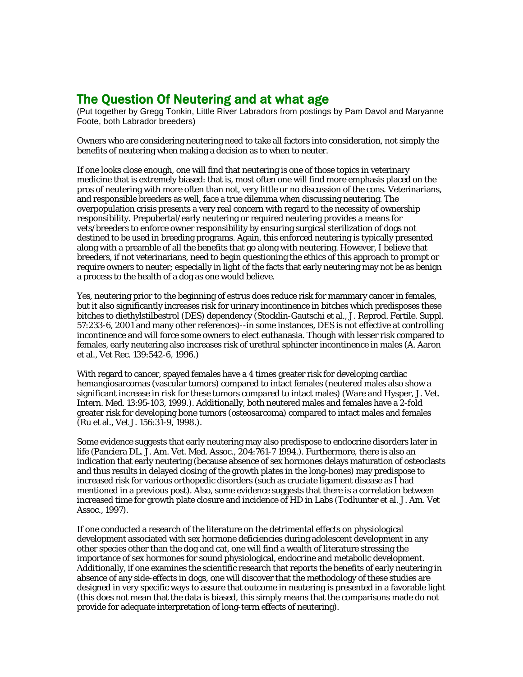## The Question Of Neutering and at what age

(Put together by Gregg Tonkin, Little River Labradors from postings by Pam Davol and Maryanne Foote, both Labrador breeders)

Owners who are considering neutering need to take all factors into consideration, not simply the benefits of neutering when making a decision as to when to neuter.

If one looks close enough, one will find that neutering is one of those topics in veterinary medicine that is extremely biased: that is, most often one will find more emphasis placed on the pros of neutering with more often than not, very little or no discussion of the cons. Veterinarians, and responsible breeders as well, face a true dilemma when discussing neutering. The overpopulation crisis presents a very real concern with regard to the necessity of ownership responsibility. Prepubertal/early neutering or required neutering provides a means for vets/breeders to enforce owner responsibility by ensuring surgical sterilization of dogs not destined to be used in breeding programs. Again, this enforced neutering is typically presented along with a preamble of all the benefits that go along with neutering. However, I believe that breeders, if not veterinarians, need to begin questioning the ethics of this approach to prompt or require owners to neuter; especially in light of the facts that early neutering may not be as benign a process to the health of a dog as one would believe.

Yes, neutering prior to the beginning of estrus does reduce risk for mammary cancer in females, but it also significantly increases risk for urinary incontinence in bitches which predisposes these bitches to diethylstilbestrol (DES) dependency (Stocklin-Gautschi et al., J. Reprod. Fertile. Suppl. 57:233-6, 2001 and many other references)--in some instances, DES is not effective at controlling incontinence and will force some owners to elect euthanasia. Though with lesser risk compared to females, early neutering also increases risk of urethral sphincter incontinence in males (A. Aaron et al., Vet Rec. 139:542-6, 1996.)

With regard to cancer, spayed females have a 4 times greater risk for developing cardiac hemangiosarcomas (vascular tumors) compared to intact females (neutered males also show a significant increase in risk for these tumors compared to intact males) (Ware and Hysper, J. Vet. Intern. Med. 13:95-103, 1999.). Additionally, both neutered males and females have a 2-fold greater risk for developing bone tumors (osteosarcoma) compared to intact males and females (Ru et al., Vet J. 156:31-9, 1998.).

Some evidence suggests that early neutering may also predispose to endocrine disorders later in life (Panciera DL. J. Am. Vet. Med. Assoc., 204:761-7 1994.). Furthermore, there is also an indication that early neutering (because absence of sex hormones delays maturation of osteoclasts and thus results in delayed closing of the growth plates in the long-bones) may predispose to increased risk for various orthopedic disorders (such as cruciate ligament disease as I had mentioned in a previous post). Also, some evidence suggests that there is a correlation between increased time for growth plate closure and incidence of HD in Labs (Todhunter et al. J. Am. Vet Assoc., 1997).

If one conducted a research of the literature on the detrimental effects on physiological development associated with sex hormone deficiencies during adolescent development in any other species other than the dog and cat, one will find a wealth of literature stressing the importance of sex hormones for sound physiological, endocrine and metabolic development. Additionally, if one examines the scientific research that reports the benefits of early neutering in absence of any side-effects in dogs, one will discover that the methodology of these studies are designed in very specific ways to assure that outcome in neutering is presented in a favorable light (this does not mean that the data is biased, this simply means that the comparisons made do not provide for adequate interpretation of long-term effects of neutering).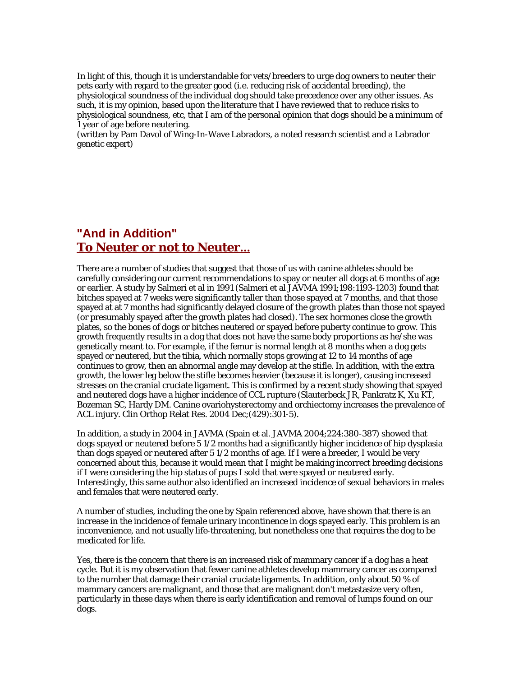In light of this, though it is understandable for vets/breeders to urge dog owners to neuter their pets early with regard to the greater good (i.e. reducing risk of accidental breeding), the physiological soundness of the individual dog should take precedence over any other issues. As such, it is my opinion, based upon the literature that I have reviewed that to reduce risks to physiological soundness, etc, that I am of the personal opinion that dogs should be a minimum of 1 year of age before neutering.

(written by Pam Davol of Wing-In-Wave Labradors, a noted research scientist and a Labrador genetic expert)

## **"And in Addition" To Neuter or not to Neuter...**

There are a number of studies that suggest that those of us with canine athletes should be carefully considering our current recommendations to spay or neuter all dogs at 6 months of age or earlier. A study by Salmeri et al in 1991 (Salmeri et al JAVMA 1991;198:1193-1203) found that bitches spayed at 7 weeks were significantly taller than those spayed at 7 months, and that those spayed at at 7 months had significantly delayed closure of the growth plates than those not spayed (or presumably spayed after the growth plates had closed). The sex hormones close the growth plates, so the bones of dogs or bitches neutered or spayed before puberty continue to grow. This growth frequently results in a dog that does not have the same body proportions as he/she was genetically meant to. For example, if the femur is normal length at 8 months when a dog gets spayed or neutered, but the tibia, which normally stops growing at 12 to 14 months of age continues to grow, then an abnormal angle may develop at the stifle. In addition, with the extra growth, the lower leg below the stifle becomes heavier (because it is longer), causing increased stresses on the cranial cruciate ligament. This is confirmed by a recent study showing that spayed and neutered dogs have a higher incidence of CCL rupture (Slauterbeck JR, Pankratz K, Xu KT, Bozeman SC, Hardy DM. Canine ovariohysterectomy and orchiectomy increases the prevalence of ACL injury. Clin Orthop Relat Res. 2004 Dec;(429):301-5).

In addition, a study in 2004 in JAVMA (Spain et al. JAVMA 2004;224:380-387) showed that dogs spayed or neutered before 5 1/2 months had a significantly higher incidence of hip dysplasia than dogs spayed or neutered after 5 1/2 months of age. If I were a breeder, I would be very concerned about this, because it would mean that I might be making incorrect breeding decisions if I were considering the hip status of pups I sold that were spayed or neutered early. Interestingly, this same author also identified an increased incidence of sexual behaviors in males and females that were neutered early.

A number of studies, including the one by Spain referenced above, have shown that there is an increase in the incidence of female urinary incontinence in dogs spayed early. This problem is an inconvenience, and not usually life-threatening, but nonetheless one that requires the dog to be medicated for life.

Yes, there is the concern that there is an increased risk of mammary cancer if a dog has a heat cycle. But it is my observation that fewer canine athletes develop mammary cancer as compared to the number that damage their cranial cruciate ligaments. In addition, only about 50 % of mammary cancers are malignant, and those that are malignant don't metastasize very often, particularly in these days when there is early identification and removal of lumps found on our dogs.